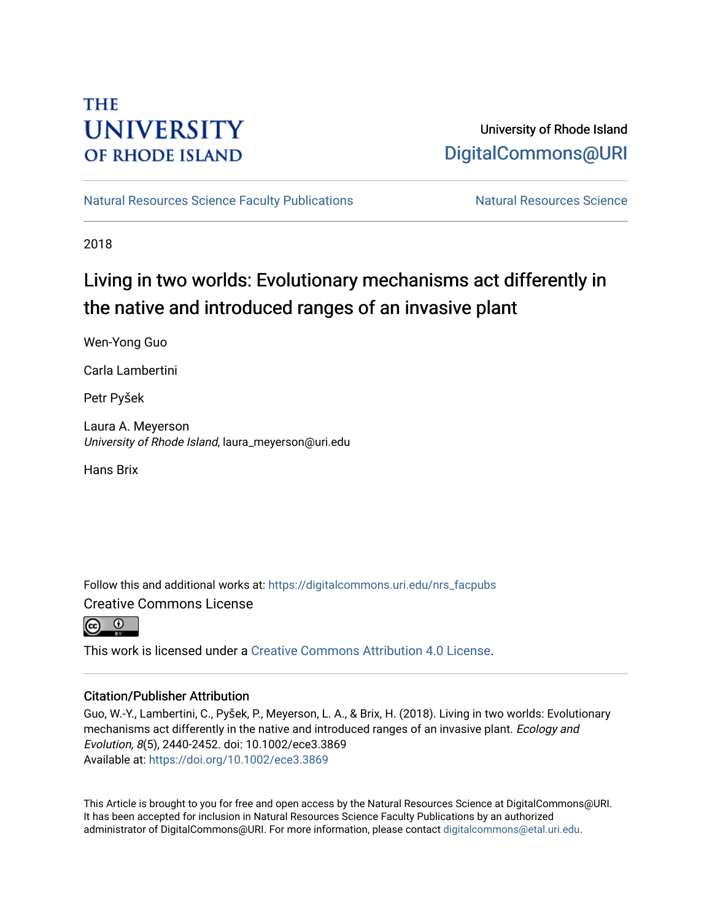# **THE UNIVERSITY OF RHODE ISLAND**

# University of Rhode Island [DigitalCommons@URI](https://digitalcommons.uri.edu/)

[Natural Resources Science Faculty Publications](https://digitalcommons.uri.edu/nrs_facpubs) Natural Resources Science

2018

# Living in two worlds: Evolutionary mechanisms act differently in the native and introduced ranges of an invasive plant

Wen-Yong Guo

Carla Lambertini

Petr Pyšek

Laura A. Meyerson University of Rhode Island, laura\_meyerson@uri.edu

Hans Brix

Follow this and additional works at: [https://digitalcommons.uri.edu/nrs\\_facpubs](https://digitalcommons.uri.edu/nrs_facpubs?utm_source=digitalcommons.uri.edu%2Fnrs_facpubs%2F174&utm_medium=PDF&utm_campaign=PDFCoverPages)  Creative Commons License

This work is licensed under a [Creative Commons Attribution 4.0 License](https://creativecommons.org/licenses/by/4.0/).

# Citation/Publisher Attribution

Guo, W.-Y., Lambertini, C., Pyšek, P., Meyerson, L. A., & Brix, H. (2018). Living in two worlds: Evolutionary mechanisms act differently in the native and introduced ranges of an invasive plant. Ecology and Evolution, 8(5), 2440-2452. doi: 10.1002/ece3.3869 Available at:<https://doi.org/10.1002/ece3.3869>

This Article is brought to you for free and open access by the Natural Resources Science at DigitalCommons@URI. It has been accepted for inclusion in Natural Resources Science Faculty Publications by an authorized administrator of DigitalCommons@URI. For more information, please contact [digitalcommons@etal.uri.edu.](mailto:digitalcommons@etal.uri.edu)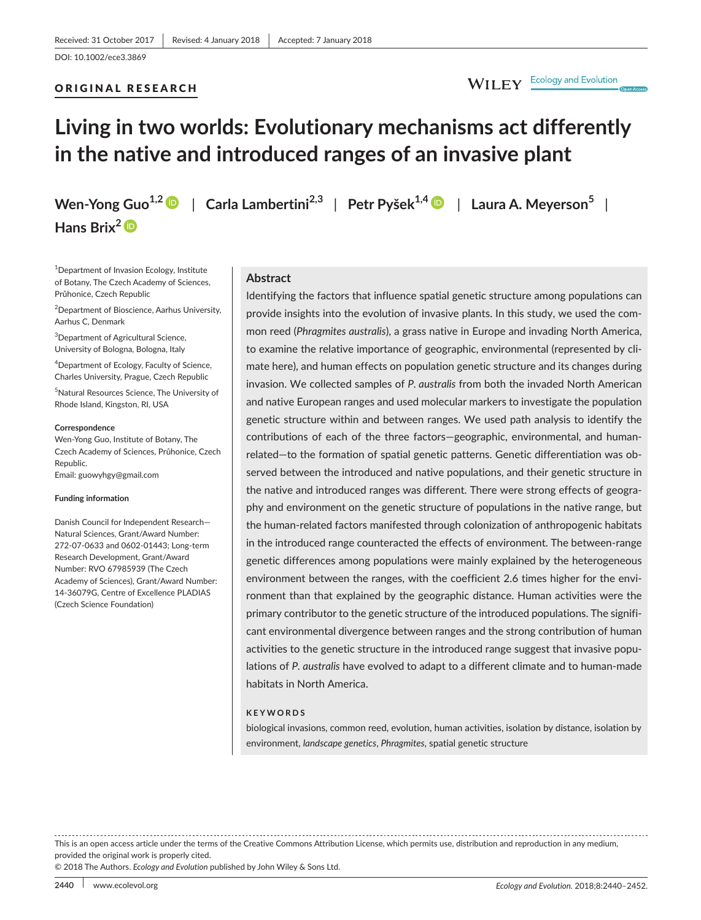## ORIGINAL RESEARCH

# WILEY Ecology and Evolution

# **Living in two worlds: Evolutionary mechanisms act differently in the native and introduced ranges of an invasive plant**

**Wen-Yong Guo1,2** | **Carla Lambertini2,3** | **Petr Pyšek1,[4](http://orcid.org/0000-0001-8500-442X)** | **Laura A. Meyerson<sup>5</sup>** | **Hans Brix[2](http://orcid.org/0000-0003-2771-2983)**

1 Department of Invasion Ecology, Institute of Botany, The Czech Academy of Sciences, Průhonice, Czech Republic

<sup>2</sup> Department of Bioscience, Aarhus University, Aarhus C, Denmark

<sup>3</sup>Department of Agricultural Science, University of Bologna, Bologna, Italy

<sup>4</sup>Department of Ecology, Faculty of Science, Charles University, Prague, Czech Republic

5 Natural Resources Science, The University of Rhode Island, Kingston, RI, USA

#### **Correspondence**

Wen-Yong Guo, Institute of Botany, The Czech Academy of Sciences, Průhonice, Czech Republic.

Email: [guowyhgy@gmail.com](mailto:guowyhgy@gmail.com)

#### **Funding information**

Danish Council for Independent Research— Natural Sciences, Grant/Award Number: 272-07-0633 and 0602-01443; Long-term Research Development, Grant/Award Number: RVO 67985939 (The Czech Academy of Sciences), Grant/Award Number: 14-36079G, Centre of Excellence PLADIAS (Czech Science Foundation)

# **Abstract**

Identifying the factors that influence spatial genetic structure among populations can provide insights into the evolution of invasive plants. In this study, we used the common reed (*Phragmites australis*), a grass native in Europe and invading North America, to examine the relative importance of geographic, environmental (represented by climate here), and human effects on population genetic structure and its changes during invasion. We collected samples of *P. australis* from both the invaded North American and native European ranges and used molecular markers to investigate the population genetic structure within and between ranges. We used path analysis to identify the contributions of each of the three factors—geographic, environmental, and humanrelated—to the formation of spatial genetic patterns. Genetic differentiation was observed between the introduced and native populations, and their genetic structure in the native and introduced ranges was different. There were strong effects of geography and environment on the genetic structure of populations in the native range, but the human-related factors manifested through colonization of anthropogenic habitats in the introduced range counteracted the effects of environment. The between-range genetic differences among populations were mainly explained by the heterogeneous environment between the ranges, with the coefficient 2.6 times higher for the environment than that explained by the geographic distance. Human activities were the primary contributor to the genetic structure of the introduced populations. The significant environmental divergence between ranges and the strong contribution of human activities to the genetic structure in the introduced range suggest that invasive populations of *P. australis* have evolved to adapt to a different climate and to human-made habitats in North America.

### **KEYWORDS**

biological invasions, common reed, evolution, human activities, isolation by distance, isolation by environment, *landscape genetics*, *Phragmites*, spatial genetic structure

This is an open access article under the terms of the [Creative Commons Attribution](http://creativecommons.org/licenses/by/4.0/) License, which permits use, distribution and reproduction in any medium, provided the original work is properly cited.

© 2018 The Authors. *Ecology and Evolution* published by John Wiley & Sons Ltd.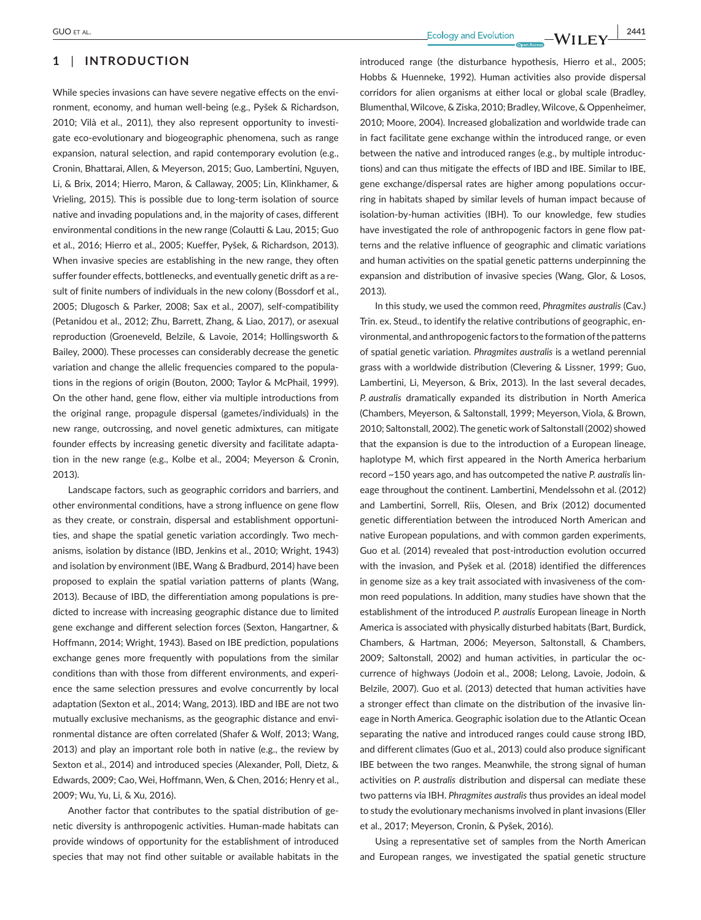# **1** | **INTRODUCTION**

While species invasions can have severe negative effects on the environment, economy, and human well-being (e.g., Pyšek & Richardson, 2010; Vilà et al., 2011), they also represent opportunity to investigate eco-evolutionary and biogeographic phenomena, such as range expansion, natural selection, and rapid contemporary evolution (e.g., Cronin, Bhattarai, Allen, & Meyerson, 2015; Guo, Lambertini, Nguyen, Li, & Brix, 2014; Hierro, Maron, & Callaway, 2005; Lin, Klinkhamer, & Vrieling, 2015). This is possible due to long-term isolation of source native and invading populations and, in the majority of cases, different environmental conditions in the new range (Colautti & Lau, 2015; Guo et al., 2016; Hierro et al., 2005; Kueffer, Pyšek, & Richardson, 2013). When invasive species are establishing in the new range, they often suffer founder effects, bottlenecks, and eventually genetic drift as a result of finite numbers of individuals in the new colony (Bossdorf et al., 2005; Dlugosch & Parker, 2008; Sax et al., 2007), self-compatibility (Petanidou et al., 2012; Zhu, Barrett, Zhang, & Liao, 2017), or asexual reproduction (Groeneveld, Belzile, & Lavoie, 2014; Hollingsworth & Bailey, 2000). These processes can considerably decrease the genetic variation and change the allelic frequencies compared to the populations in the regions of origin (Bouton, 2000; Taylor & McPhail, 1999). On the other hand, gene flow, either via multiple introductions from the original range, propagule dispersal (gametes/individuals) in the new range, outcrossing, and novel genetic admixtures, can mitigate founder effects by increasing genetic diversity and facilitate adaptation in the new range (e.g., Kolbe et al., 2004; Meyerson & Cronin, 2013).

Landscape factors, such as geographic corridors and barriers, and other environmental conditions, have a strong influence on gene flow as they create, or constrain, dispersal and establishment opportunities, and shape the spatial genetic variation accordingly. Two mechanisms, isolation by distance (IBD, Jenkins et al., 2010; Wright, 1943) and isolation by environment (IBE, Wang & Bradburd, 2014) have been proposed to explain the spatial variation patterns of plants (Wang, 2013). Because of IBD, the differentiation among populations is predicted to increase with increasing geographic distance due to limited gene exchange and different selection forces (Sexton, Hangartner, & Hoffmann, 2014; Wright, 1943). Based on IBE prediction, populations exchange genes more frequently with populations from the similar conditions than with those from different environments, and experience the same selection pressures and evolve concurrently by local adaptation (Sexton et al., 2014; Wang, 2013). IBD and IBE are not two mutually exclusive mechanisms, as the geographic distance and environmental distance are often correlated (Shafer & Wolf, 2013; Wang, 2013) and play an important role both in native (e.g., the review by Sexton et al., 2014) and introduced species (Alexander, Poll, Dietz, & Edwards, 2009; Cao, Wei, Hoffmann, Wen, & Chen, 2016; Henry et al., 2009; Wu, Yu, Li, & Xu, 2016).

Another factor that contributes to the spatial distribution of genetic diversity is anthropogenic activities. Human-made habitats can provide windows of opportunity for the establishment of introduced species that may not find other suitable or available habitats in the

 **|** GUO et al. **2441**

introduced range (the disturbance hypothesis, Hierro et al., 2005; Hobbs & Huenneke, 1992). Human activities also provide dispersal corridors for alien organisms at either local or global scale (Bradley, Blumenthal, Wilcove, & Ziska, 2010; Bradley, Wilcove, & Oppenheimer, 2010; Moore, 2004). Increased globalization and worldwide trade can in fact facilitate gene exchange within the introduced range, or even between the native and introduced ranges (e.g., by multiple introductions) and can thus mitigate the effects of IBD and IBE. Similar to IBE, gene exchange/dispersal rates are higher among populations occurring in habitats shaped by similar levels of human impact because of isolation-by-human activities (IBH). To our knowledge, few studies have investigated the role of anthropogenic factors in gene flow patterns and the relative influence of geographic and climatic variations and human activities on the spatial genetic patterns underpinning the expansion and distribution of invasive species (Wang, Glor, & Losos, 2013).

In this study, we used the common reed, *Phragmites australis* (Cav.) Trin. ex. Steud., to identify the relative contributions of geographic, environmental, and anthropogenic factors to the formation of the patterns of spatial genetic variation. *Phragmites australis* is a wetland perennial grass with a worldwide distribution (Clevering & Lissner, 1999; Guo, Lambertini, Li, Meyerson, & Brix, 2013). In the last several decades, *P. australis* dramatically expanded its distribution in North America (Chambers, Meyerson, & Saltonstall, 1999; Meyerson, Viola, & Brown, 2010; Saltonstall, 2002). The genetic work of Saltonstall (2002) showed that the expansion is due to the introduction of a European lineage, haplotype M, which first appeared in the North America herbarium record ~150 years ago, and has outcompeted the native *P. australis* lineage throughout the continent. Lambertini, Mendelssohn et al. (2012) and Lambertini, Sorrell, Riis, Olesen, and Brix (2012) documented genetic differentiation between the introduced North American and native European populations, and with common garden experiments, Guo et al. (2014) revealed that post-introduction evolution occurred with the invasion, and Pyšek et al. (2018) identified the differences in genome size as a key trait associated with invasiveness of the common reed populations. In addition, many studies have shown that the establishment of the introduced *P. australis* European lineage in North America is associated with physically disturbed habitats (Bart, Burdick, Chambers, & Hartman, 2006; Meyerson, Saltonstall, & Chambers, 2009; Saltonstall, 2002) and human activities, in particular the occurrence of highways (Jodoin et al., 2008; Lelong, Lavoie, Jodoin, & Belzile, 2007). Guo et al. (2013) detected that human activities have a stronger effect than climate on the distribution of the invasive lineage in North America. Geographic isolation due to the Atlantic Ocean separating the native and introduced ranges could cause strong IBD, and different climates (Guo et al., 2013) could also produce significant IBE between the two ranges. Meanwhile, the strong signal of human activities on *P. australis* distribution and dispersal can mediate these two patterns via IBH. *Phragmites australis* thus provides an ideal model to study the evolutionary mechanisms involved in plant invasions (Eller et al., 2017; Meyerson, Cronin, & Pyšek, 2016).

Using a representative set of samples from the North American and European ranges, we investigated the spatial genetic structure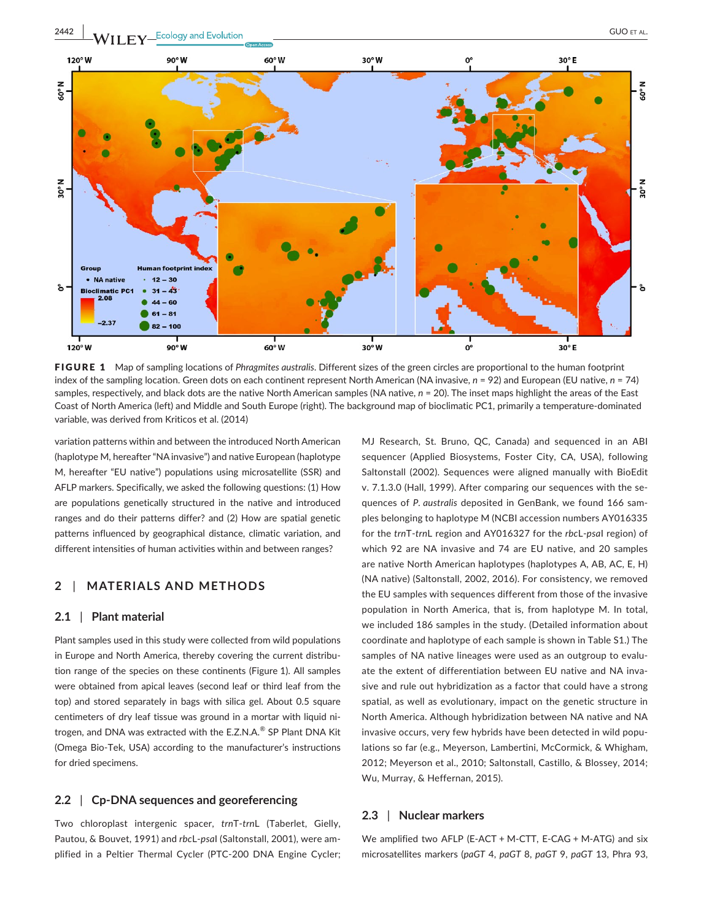

FIGURE 1 Map of sampling locations of *Phragmites australis*. Different sizes of the green circles are proportional to the human footprint index of the sampling location. Green dots on each continent represent North American (NA invasive, *n* = 92) and European (EU native, *n* = 74) samples, respectively, and black dots are the native North American samples (NA native, *n* = 20). The inset maps highlight the areas of the East Coast of North America (left) and Middle and South Europe (right). The background map of bioclimatic PC1, primarily a temperature-dominated variable, was derived from Kriticos et al. (2014)

variation patterns within and between the introduced North American (haplotype M, hereafter "NA invasive") and native European (haplotype M, hereafter "EU native") populations using microsatellite (SSR) and AFLP markers. Specifically, we asked the following questions: (1) How are populations genetically structured in the native and introduced ranges and do their patterns differ? and (2) How are spatial genetic patterns influenced by geographical distance, climatic variation, and different intensities of human activities within and between ranges?

# **2** | **MATERIALS AND METHODS**

## **2.1** | **Plant material**

Plant samples used in this study were collected from wild populations in Europe and North America, thereby covering the current distribution range of the species on these continents (Figure 1). All samples were obtained from apical leaves (second leaf or third leaf from the top) and stored separately in bags with silica gel. About 0.5 square centimeters of dry leaf tissue was ground in a mortar with liquid nitrogen, and DNA was extracted with the E.Z.N.A.<sup>®</sup> SP Plant DNA Kit (Omega Bio-Tek, USA) according to the manufacturer's instructions for dried specimens.

## **2.2** | **Cp-DNA sequences and georeferencing**

Two chloroplast intergenic spacer, *trn*T-*trn*L (Taberlet, Gielly, Pautou, & Bouvet, 1991) and *rbc*L-*psa*I (Saltonstall, 2001), were amplified in a Peltier Thermal Cycler (PTC-200 DNA Engine Cycler; MJ Research, St. Bruno, QC, Canada) and sequenced in an ABI sequencer (Applied Biosystems, Foster City, CA, USA), following Saltonstall (2002). Sequences were aligned manually with BioEdit v. 7.1.3.0 (Hall, 1999). After comparing our sequences with the sequences of *P. australis* deposited in GenBank, we found 166 samples belonging to haplotype M (NCBI accession numbers [AY016335](info:ddbj-embl-genbank/AY016335) for the *trn*T-*trn*L region and [AY016327](info:ddbj-embl-genbank/AY016327) for the *rbc*L-*psa*I region) of which 92 are NA invasive and 74 are EU native, and 20 samples are native North American haplotypes (haplotypes A, AB, AC, E, H) (NA native) (Saltonstall, 2002, 2016). For consistency, we removed the EU samples with sequences different from those of the invasive population in North America, that is, from haplotype M. In total, we included 186 samples in the study. (Detailed information about coordinate and haplotype of each sample is shown in Table S1.) The samples of NA native lineages were used as an outgroup to evaluate the extent of differentiation between EU native and NA invasive and rule out hybridization as a factor that could have a strong spatial, as well as evolutionary, impact on the genetic structure in North America. Although hybridization between NA native and NA invasive occurs, very few hybrids have been detected in wild populations so far (e.g., Meyerson, Lambertini, McCormick, & Whigham, 2012; Meyerson et al., 2010; Saltonstall, Castillo, & Blossey, 2014; Wu, Murray, & Heffernan, 2015).

## **2.3** | **Nuclear markers**

We amplified two AFLP (E-ACT + M-CTT, E-CAG + M-ATG) and six microsatellites markers (*paGT* 4, *paGT* 8, *paGT* 9, *paGT* 13, Phra 93,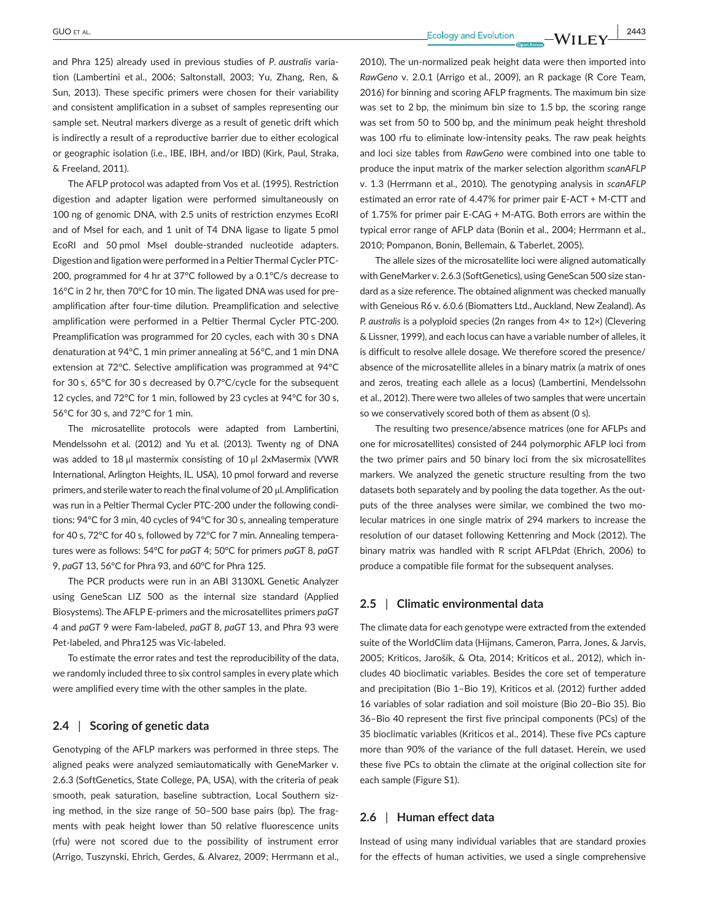**GUO** ET AL. **2443**<br> **Ecology** and Evolution **10/11 EV** 

and Phra 125) already used in previous studies of *P. australis* variation (Lambertini et al., 2006; Saltonstall, 2003; Yu, Zhang, Ren, & Sun, 2013). These specific primers were chosen for their variability and consistent amplification in a subset of samples representing our sample set. Neutral markers diverge as a result of genetic drift which is indirectly a result of a reproductive barrier due to either ecological or geographic isolation (i.e., IBE, IBH, and/or IBD) (Kirk, Paul, Straka, & Freeland, 2011).

The AFLP protocol was adapted from Vos et al. (1995). Restriction digestion and adapter ligation were performed simultaneously on 100 ng of genomic DNA, with 2.5 units of restriction enzymes EcoRI and of MseI for each, and 1 unit of T4 DNA ligase to ligate 5 pmol EcoRI and 50 pmol MseI double-stranded nucleotide adapters. Digestion and ligation were performed in a Peltier Thermal Cycler PTC-200, programmed for 4 hr at 37°C followed by a 0.1°C/s decrease to 16°C in 2 hr, then 70°C for 10 min. The ligated DNA was used for preamplification after four-time dilution. Preamplification and selective amplification were performed in a Peltier Thermal Cycler PTC-200. Preamplification was programmed for 20 cycles, each with 30 s DNA denaturation at 94°C, 1 min primer annealing at 56°C, and 1 min DNA extension at 72°C. Selective amplification was programmed at 94°C for 30 s, 65°C for 30 s decreased by 0.7°C/cycle for the subsequent 12 cycles, and 72°C for 1 min, followed by 23 cycles at 94°C for 30 s, 56°C for 30 s, and 72°C for 1 min.

The microsatellite protocols were adapted from Lambertini, Mendelssohn et al. (2012) and Yu et al. (2013). Twenty ng of DNA was added to 18 μl mastermix consisting of 10 μl 2xMasermix (VWR International, Arlington Heights, IL, USA), 10 pmol forward and reverse primers, and sterile water to reach the final volume of 20 μl. Amplification was run in a Peltier Thermal Cycler PTC-200 under the following conditions: 94°C for 3 min, 40 cycles of 94°C for 30 s, annealing temperature for 40 s, 72°C for 40 s, followed by 72°C for 7 min. Annealing temperatures were as follows: 54°C for *paGT* 4; 50°C for primers *paGT* 8, *paGT* 9, *paGT* 13, 56°C for Phra 93, and 60°C for Phra 125.

The PCR products were run in an ABI 3130XL Genetic Analyzer using GeneScan LIZ 500 as the internal size standard (Applied Biosystems). The AFLP E-primers and the microsatellites primers *paGT* 4 and *paGT* 9 were Fam-labeled, *paGT* 8, *paGT* 13, and Phra 93 were Pet-labeled, and Phra125 was Vic-labeled.

To estimate the error rates and test the reproducibility of the data, we randomly included three to six control samples in every plate which were amplified every time with the other samples in the plate.

# **2.4** | **Scoring of genetic data**

Genotyping of the AFLP markers was performed in three steps. The aligned peaks were analyzed semiautomatically with GeneMarker v. 2.6.3 (SoftGenetics, State College, PA, USA), with the criteria of peak smooth, peak saturation, baseline subtraction, Local Southern sizing method, in the size range of 50–500 base pairs (bp). The fragments with peak height lower than 50 relative fluorescence units (rfu) were not scored due to the possibility of instrument error (Arrigo, Tuszynski, Ehrich, Gerdes, & Alvarez, 2009; Herrmann et al.,

2010). The un-normalized peak height data were then imported into *RawGeno* v. 2.0.1 (Arrigo et al., 2009), an R package (R Core Team, 2016) for binning and scoring AFLP fragments. The maximum bin size was set to 2 bp, the minimum bin size to 1.5 bp, the scoring range was set from 50 to 500 bp, and the minimum peak height threshold was 100 rfu to eliminate low-intensity peaks. The raw peak heights and loci size tables from *RawGeno* were combined into one table to produce the input matrix of the marker selection algorithm *scanAFLP* v. 1.3 (Herrmann et al., 2010). The genotyping analysis in *scanAFLP* estimated an error rate of 4.47% for primer pair E-ACT + M-CTT and of 1.75% for primer pair E-CAG + M-ATG. Both errors are within the typical error range of AFLP data (Bonin et al., 2004; Herrmann et al., 2010; Pompanon, Bonin, Bellemain, & Taberlet, 2005).

The allele sizes of the microsatellite loci were aligned automatically with GeneMarker v. 2.6.3 (SoftGenetics), using GeneScan 500 size standard as a size reference. The obtained alignment was checked manually with Geneious R6 v. 6.0.6 (Biomatters Ltd., Auckland, New Zealand). As *P. australis* is a polyploid species (2n ranges from 4× to 12×) (Clevering & Lissner, 1999), and each locus can have a variable number of alleles, it is difficult to resolve allele dosage. We therefore scored the presence/ absence of the microsatellite alleles in a binary matrix (a matrix of ones and zeros, treating each allele as a locus) (Lambertini, Mendelssohn et al., 2012). There were two alleles of two samples that were uncertain so we conservatively scored both of them as absent (0 s).

The resulting two presence/absence matrices (one for AFLPs and one for microsatellites) consisted of 244 polymorphic AFLP loci from the two primer pairs and 50 binary loci from the six microsatellites markers. We analyzed the genetic structure resulting from the two datasets both separately and by pooling the data together. As the outputs of the three analyses were similar, we combined the two molecular matrices in one single matrix of 294 markers to increase the resolution of our dataset following Kettenring and Mock (2012). The binary matrix was handled with R script AFLPdat (Ehrich, 2006) to produce a compatible file format for the subsequent analyses.

## **2.5** | **Climatic environmental data**

The climate data for each genotype were extracted from the extended suite of the WorldClim data (Hijmans, Cameron, Parra, Jones, & Jarvis, 2005; Kriticos, Jarošík, & Ota, 2014; Kriticos et al., 2012), which includes 40 bioclimatic variables. Besides the core set of temperature and precipitation (Bio 1–Bio 19), Kriticos et al. (2012) further added 16 variables of solar radiation and soil moisture (Bio 20–Bio 35). Bio 36–Bio 40 represent the first five principal components (PCs) of the 35 bioclimatic variables (Kriticos et al., 2014). These five PCs capture more than 90% of the variance of the full dataset. Herein, we used these five PCs to obtain the climate at the original collection site for each sample (Figure S1).

## **2.6** | **Human effect data**

Instead of using many individual variables that are standard proxies for the effects of human activities, we used a single comprehensive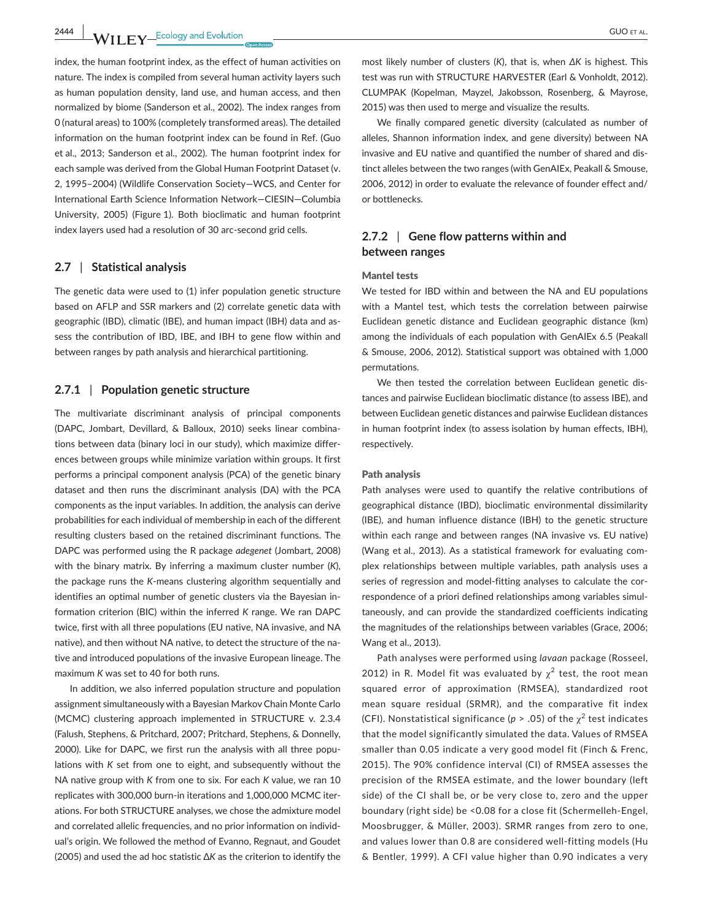**2444 WII FY** Ecology and Evolution CUO ET AL.

index, the human footprint index, as the effect of human activities on nature. The index is compiled from several human activity layers such as human population density, land use, and human access, and then normalized by biome (Sanderson et al., 2002). The index ranges from 0 (natural areas) to 100% (completely transformed areas). The detailed information on the human footprint index can be found in Ref. (Guo et al., 2013; Sanderson et al., 2002). The human footprint index for each sample was derived from the Global Human Footprint Dataset (v. 2, 1995–2004) (Wildlife Conservation Society—WCS, and Center for International Earth Science Information Network—CIESIN—Columbia University, 2005) (Figure 1). Both bioclimatic and human footprint index layers used had a resolution of 30 arc-second grid cells.

## **2.7** | **Statistical analysis**

The genetic data were used to (1) infer population genetic structure based on AFLP and SSR markers and (2) correlate genetic data with geographic (IBD), climatic (IBE), and human impact (IBH) data and assess the contribution of IBD, IBE, and IBH to gene flow within and between ranges by path analysis and hierarchical partitioning.

## **2.7.1** | **Population genetic structure**

The multivariate discriminant analysis of principal components (DAPC, Jombart, Devillard, & Balloux, 2010) seeks linear combinations between data (binary loci in our study), which maximize differences between groups while minimize variation within groups. It first performs a principal component analysis (PCA) of the genetic binary dataset and then runs the discriminant analysis (DA) with the PCA components as the input variables. In addition, the analysis can derive probabilities for each individual of membership in each of the different resulting clusters based on the retained discriminant functions. The DAPC was performed using the R package *adegenet* (Jombart, 2008) with the binary matrix. By inferring a maximum cluster number (*K*), the package runs the *K*-means clustering algorithm sequentially and identifies an optimal number of genetic clusters via the Bayesian information criterion (BIC) within the inferred *K* range. We ran DAPC twice, first with all three populations (EU native, NA invasive, and NA native), and then without NA native, to detect the structure of the native and introduced populations of the invasive European lineage. The maximum *K* was set to 40 for both runs.

In addition, we also inferred population structure and population assignment simultaneously with a Bayesian Markov Chain Monte Carlo (MCMC) clustering approach implemented in STRUCTURE v. 2.3.4 (Falush, Stephens, & Pritchard, 2007; Pritchard, Stephens, & Donnelly, 2000). Like for DAPC, we first run the analysis with all three populations with *K* set from one to eight, and subsequently without the NA native group with *K* from one to six. For each *K* value, we ran 10 replicates with 300,000 burn-in iterations and 1,000,000 MCMC iterations. For both STRUCTURE analyses, we chose the admixture model and correlated allelic frequencies, and no prior information on individual's origin. We followed the method of Evanno, Regnaut, and Goudet (2005) and used the ad hoc statistic ∆*K* as the criterion to identify the most likely number of clusters (*K*), that is, when *∆K* is highest. This test was run with STRUCTURE HARVESTER (Earl & Vonholdt, 2012). CLUMPAK (Kopelman, Mayzel, Jakobsson, Rosenberg, & Mayrose, 2015) was then used to merge and visualize the results.

We finally compared genetic diversity (calculated as number of alleles, Shannon information index, and gene diversity) between NA invasive and EU native and quantified the number of shared and distinct alleles between the two ranges (with GenAIEx, Peakall & Smouse, 2006, 2012) in order to evaluate the relevance of founder effect and/ or bottlenecks.

# **2.7.2** | **Gene flow patterns within and between ranges**

### Mantel tests

We tested for IBD within and between the NA and EU populations with a Mantel test, which tests the correlation between pairwise Euclidean genetic distance and Euclidean geographic distance (km) among the individuals of each population with GenAIEx 6.5 (Peakall & Smouse, 2006, 2012). Statistical support was obtained with 1,000 permutations.

We then tested the correlation between Euclidean genetic distances and pairwise Euclidean bioclimatic distance (to assess IBE), and between Euclidean genetic distances and pairwise Euclidean distances in human footprint index (to assess isolation by human effects, IBH), respectively.

#### Path analysis

Path analyses were used to quantify the relative contributions of geographical distance (IBD), bioclimatic environmental dissimilarity (IBE), and human influence distance (IBH) to the genetic structure within each range and between ranges (NA invasive vs. EU native) (Wang et al., 2013). As a statistical framework for evaluating complex relationships between multiple variables, path analysis uses a series of regression and model-fitting analyses to calculate the correspondence of a priori defined relationships among variables simultaneously, and can provide the standardized coefficients indicating the magnitudes of the relationships between variables (Grace, 2006; Wang et al., 2013).

Path analyses were performed using *lavaan* package (Rosseel, 2012) in R. Model fit was evaluated by  $\chi^2$  test, the root mean squared error of approximation (RMSEA), standardized root mean square residual (SRMR), and the comparative fit index (CFI). Nonstatistical significance ( $p > .05$ ) of the  $\chi^2$  test indicates that the model significantly simulated the data. Values of RMSEA smaller than 0.05 indicate a very good model fit (Finch & Frenc, 2015). The 90% confidence interval (CI) of RMSEA assesses the precision of the RMSEA estimate, and the lower boundary (left side) of the CI shall be, or be very close to, zero and the upper boundary (right side) be <0.08 for a close fit (Schermelleh-Engel, Moosbrugger, & Müller, 2003). SRMR ranges from zero to one, and values lower than 0.8 are considered well-fitting models (Hu & Bentler, 1999). A CFI value higher than 0.90 indicates a very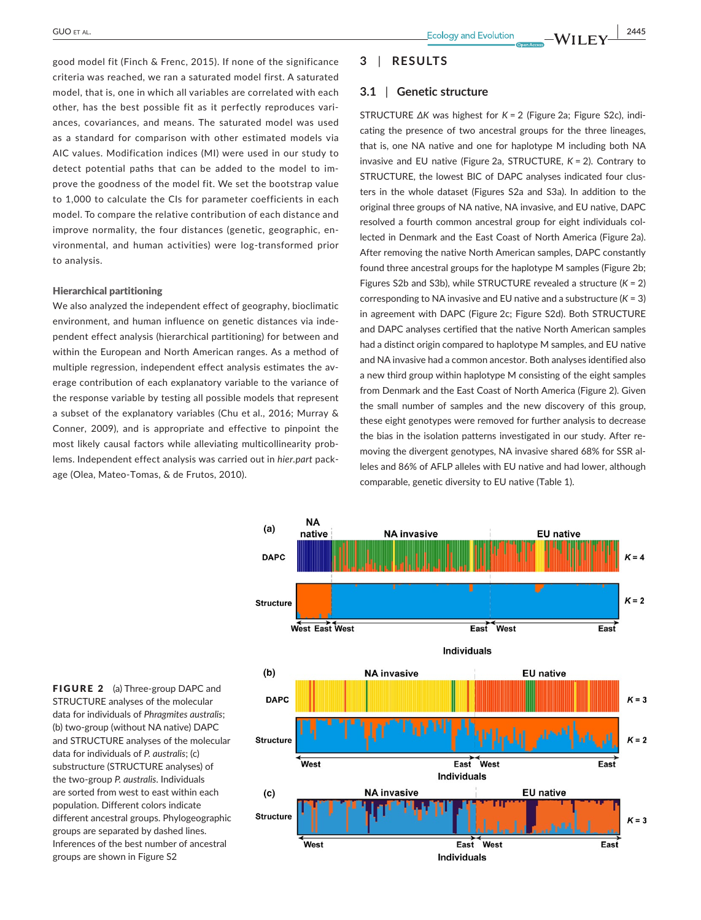good model fit (Finch & Frenc, 2015). If none of the significance criteria was reached, we ran a saturated model first. A saturated model, that is, one in which all variables are correlated with each other, has the best possible fit as it perfectly reproduces variances, covariances, and means. The saturated model was used as a standard for comparison with other estimated models via AIC values. Modification indices (MI) were used in our study to detect potential paths that can be added to the model to improve the goodness of the model fit. We set the bootstrap value to 1,000 to calculate the CIs for parameter coefficients in each model. To compare the relative contribution of each distance and improve normality, the four distances (genetic, geographic, environmental, and human activities) were log-transformed prior to analysis.

### Hierarchical partitioning

We also analyzed the independent effect of geography, bioclimatic environment, and human influence on genetic distances via independent effect analysis (hierarchical partitioning) for between and within the European and North American ranges. As a method of multiple regression, independent effect analysis estimates the average contribution of each explanatory variable to the variance of the response variable by testing all possible models that represent a subset of the explanatory variables (Chu et al., 2016; Murray & Conner, 2009), and is appropriate and effective to pinpoint the most likely causal factors while alleviating multicollinearity problems. Independent effect analysis was carried out in *hier.part* package (Olea, Mateo-Tomas, & de Frutos, 2010).

# **3** | **RESULTS**

### **3.1** | **Genetic structure**

STRUCTURE *∆K* was highest for *K* = 2 (Figure 2a; Figure S2c), indicating the presence of two ancestral groups for the three lineages, that is, one NA native and one for haplotype M including both NA invasive and EU native (Figure 2a, STRUCTURE, *K* = 2). Contrary to STRUCTURE, the lowest BIC of DAPC analyses indicated four clusters in the whole dataset (Figures S2a and S3a). In addition to the original three groups of NA native, NA invasive, and EU native, DAPC resolved a fourth common ancestral group for eight individuals collected in Denmark and the East Coast of North America (Figure 2a). After removing the native North American samples, DAPC constantly found three ancestral groups for the haplotype M samples (Figure 2b; Figures S2b and S3b), while STRUCTURE revealed a structure (*K* = 2) corresponding to NA invasive and EU native and a substructure (*K* = 3) in agreement with DAPC (Figure 2c; Figure S2d). Both STRUCTURE and DAPC analyses certified that the native North American samples had a distinct origin compared to haplotype M samples, and EU native and NA invasive had a common ancestor. Both analyses identified also a new third group within haplotype M consisting of the eight samples from Denmark and the East Coast of North America (Figure 2). Given the small number of samples and the new discovery of this group, these eight genotypes were removed for further analysis to decrease the bias in the isolation patterns investigated in our study. After removing the divergent genotypes, NA invasive shared 68% for SSR alleles and 86% of AFLP alleles with EU native and had lower, although comparable, genetic diversity to EU native (Table 1).



FIGURE 2 (a) Three-group DAPC and STRUCTURE analyses of the molecular data for individuals of *Phragmites australis*; (b) two-group (without NA native) DAPC and STRUCTURE analyses of the molecular data for individuals of *P. australis*; (c) substructure (STRUCTURE analyses) of the two-group *P. australis*. Individuals are sorted from west to east within each population. Different colors indicate different ancestral groups. Phylogeographic groups are separated by dashed lines. Inferences of the best number of ancestral groups are shown in Figure S2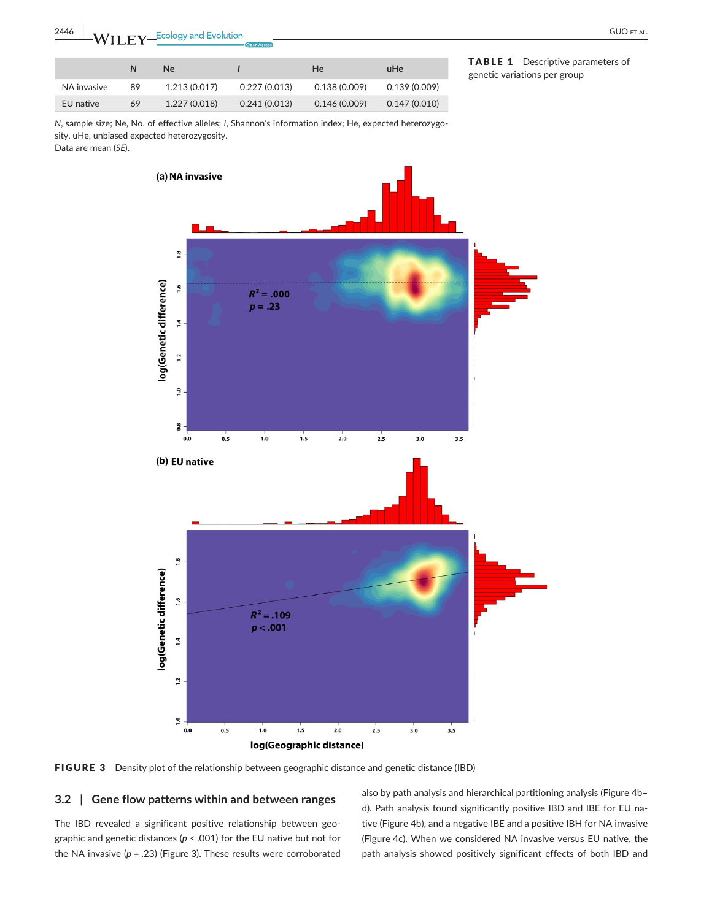|             | N  | Ne            |              | <b>He</b>    | uHe          |
|-------------|----|---------------|--------------|--------------|--------------|
| NA invasive | 89 | 1.213 (0.017) | 0.227(0.013) | 0.138(0.009) | 0.139(0.009) |
| EU native   | 69 | 1.227 (0.018) | 0.241(0.013) | 0.146(0.009) | 0.147(0.010) |

TABLE 1 Descriptive parameters of genetic variations per group

*N*, sample size; Ne, No. of effective alleles; *I*, Shannon's information index; He, expected heterozygosity, uHe, unbiased expected heterozygosity.

Data are mean (*SE*).



FIGURE 3 Density plot of the relationship between geographic distance and genetic distance (IBD)

## **3.2** | **Gene flow patterns within and between ranges**

The IBD revealed a significant positive relationship between geographic and genetic distances (*p* < .001) for the EU native but not for the NA invasive (*p* = .23) (Figure 3). These results were corroborated also by path analysis and hierarchical partitioning analysis (Figure 4b– d). Path analysis found significantly positive IBD and IBE for EU native (Figure 4b), and a negative IBE and a positive IBH for NA invasive (Figure 4c). When we considered NA invasive versus EU native, the path analysis showed positively significant effects of both IBD and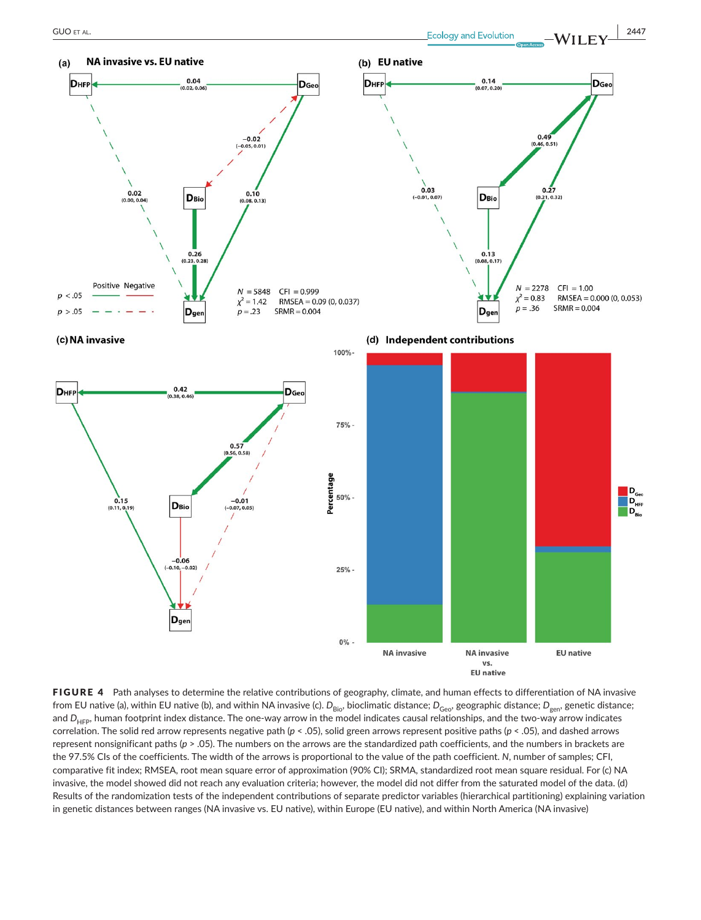

FIGURE 4 Path analyses to determine the relative contributions of geography, climate, and human effects to differentiation of NA invasive from EU native (a), within EU native (b), and within NA invasive (c).  $D_{\text{Bio}}$ , bioclimatic distance;  $D_{\text{Geo}}$ , geographic distance;  $D_{\text{gen}}$ , genetic distance; and *D<sub>HFP</sub>*, human footprint index distance. The one-way arrow in the model indicates causal relationships, and the two-way arrow indicates correlation. The solid red arrow represents negative path (*p* < .05), solid green arrows represent positive paths (*p* < .05), and dashed arrows represent nonsignificant paths (*p* > .05). The numbers on the arrows are the standardized path coefficients, and the numbers in brackets are the 97.5% CIs of the coefficients. The width of the arrows is proportional to the value of the path coefficient. *N*, number of samples; CFI, comparative fit index; RMSEA, root mean square error of approximation (90% CI); SRMA, standardized root mean square residual. For (c) NA invasive, the model showed did not reach any evaluation criteria; however, the model did not differ from the saturated model of the data. (d) Results of the randomization tests of the independent contributions of separate predictor variables (hierarchical partitioning) explaining variation in genetic distances between ranges (NA invasive vs. EU native), within Europe (EU native), and within North America (NA invasive)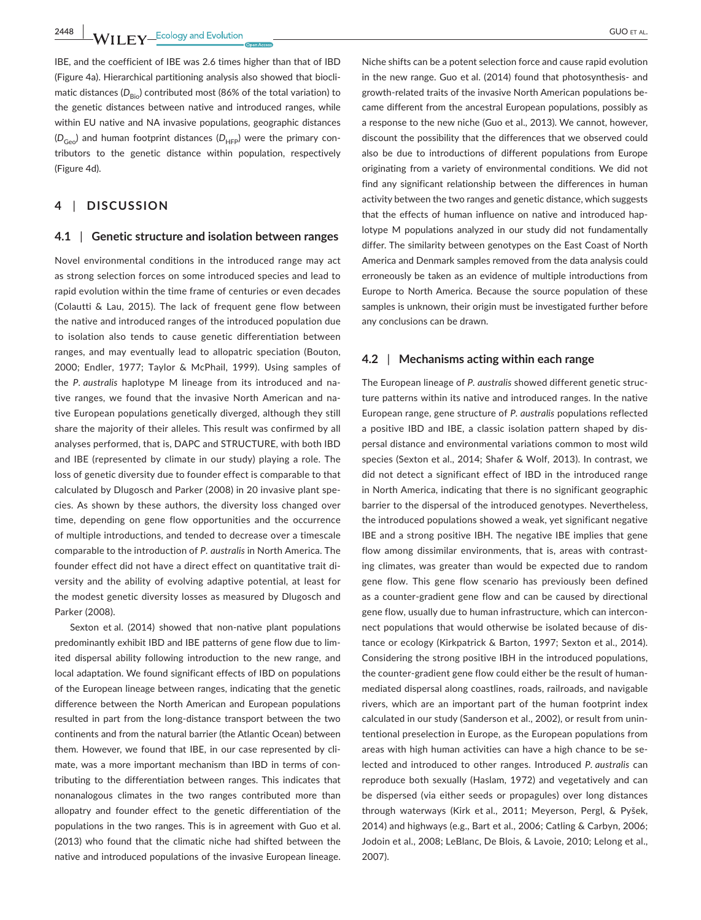**2448 WII FY** Ecology and Evolution <u>Construction COUSE AL.</u>

IBE, and the coefficient of IBE was 2.6 times higher than that of IBD (Figure 4a). Hierarchical partitioning analysis also showed that bioclimatic distances (D<sub>Bio</sub>) contributed most (86% of the total variation) to the genetic distances between native and introduced ranges, while within EU native and NA invasive populations, geographic distances  $(D_{Geo})$  and human footprint distances  $(D_{HFP})$  were the primary contributors to the genetic distance within population, respectively (Figure 4d).

# **4** | **DISCUSSION**

## **4.1** | **Genetic structure and isolation between ranges**

Novel environmental conditions in the introduced range may act as strong selection forces on some introduced species and lead to rapid evolution within the time frame of centuries or even decades (Colautti & Lau, 2015). The lack of frequent gene flow between the native and introduced ranges of the introduced population due to isolation also tends to cause genetic differentiation between ranges, and may eventually lead to allopatric speciation (Bouton, 2000; Endler, 1977; Taylor & McPhail, 1999). Using samples of the *P. australis* haplotype M lineage from its introduced and native ranges, we found that the invasive North American and native European populations genetically diverged, although they still share the majority of their alleles. This result was confirmed by all analyses performed, that is, DAPC and STRUCTURE, with both IBD and IBE (represented by climate in our study) playing a role. The loss of genetic diversity due to founder effect is comparable to that calculated by Dlugosch and Parker (2008) in 20 invasive plant species. As shown by these authors, the diversity loss changed over time, depending on gene flow opportunities and the occurrence of multiple introductions, and tended to decrease over a timescale comparable to the introduction of *P. australis* in North America. The founder effect did not have a direct effect on quantitative trait diversity and the ability of evolving adaptive potential, at least for the modest genetic diversity losses as measured by Dlugosch and Parker (2008).

Sexton et al. (2014) showed that non-native plant populations predominantly exhibit IBD and IBE patterns of gene flow due to limited dispersal ability following introduction to the new range, and local adaptation. We found significant effects of IBD on populations of the European lineage between ranges, indicating that the genetic difference between the North American and European populations resulted in part from the long-distance transport between the two continents and from the natural barrier (the Atlantic Ocean) between them. However, we found that IBE, in our case represented by climate, was a more important mechanism than IBD in terms of contributing to the differentiation between ranges. This indicates that nonanalogous climates in the two ranges contributed more than allopatry and founder effect to the genetic differentiation of the populations in the two ranges. This is in agreement with Guo et al. (2013) who found that the climatic niche had shifted between the native and introduced populations of the invasive European lineage.

Niche shifts can be a potent selection force and cause rapid evolution in the new range. Guo et al. (2014) found that photosynthesis- and growth-related traits of the invasive North American populations became different from the ancestral European populations, possibly as a response to the new niche (Guo et al., 2013). We cannot, however, discount the possibility that the differences that we observed could also be due to introductions of different populations from Europe originating from a variety of environmental conditions. We did not find any significant relationship between the differences in human activity between the two ranges and genetic distance, which suggests that the effects of human influence on native and introduced haplotype M populations analyzed in our study did not fundamentally differ. The similarity between genotypes on the East Coast of North America and Denmark samples removed from the data analysis could erroneously be taken as an evidence of multiple introductions from Europe to North America. Because the source population of these samples is unknown, their origin must be investigated further before any conclusions can be drawn.

# **4.2** | **Mechanisms acting within each range**

The European lineage of *P. australis* showed different genetic structure patterns within its native and introduced ranges. In the native European range, gene structure of *P. australis* populations reflected a positive IBD and IBE, a classic isolation pattern shaped by dispersal distance and environmental variations common to most wild species (Sexton et al., 2014; Shafer & Wolf, 2013). In contrast, we did not detect a significant effect of IBD in the introduced range in North America, indicating that there is no significant geographic barrier to the dispersal of the introduced genotypes. Nevertheless, the introduced populations showed a weak, yet significant negative IBE and a strong positive IBH. The negative IBE implies that gene flow among dissimilar environments, that is, areas with contrasting climates, was greater than would be expected due to random gene flow. This gene flow scenario has previously been defined as a counter-gradient gene flow and can be caused by directional gene flow, usually due to human infrastructure, which can interconnect populations that would otherwise be isolated because of distance or ecology (Kirkpatrick & Barton, 1997; Sexton et al., 2014). Considering the strong positive IBH in the introduced populations, the counter-gradient gene flow could either be the result of humanmediated dispersal along coastlines, roads, railroads, and navigable rivers, which are an important part of the human footprint index calculated in our study (Sanderson et al., 2002), or result from unintentional preselection in Europe, as the European populations from areas with high human activities can have a high chance to be selected and introduced to other ranges. Introduced *P. australis* can reproduce both sexually (Haslam, 1972) and vegetatively and can be dispersed (via either seeds or propagules) over long distances through waterways (Kirk et al., 2011; Meyerson, Pergl, & Pyšek, 2014) and highways (e.g., Bart et al., 2006; Catling & Carbyn, 2006; Jodoin et al., 2008; LeBlanc, De Blois, & Lavoie, 2010; Lelong et al., 2007).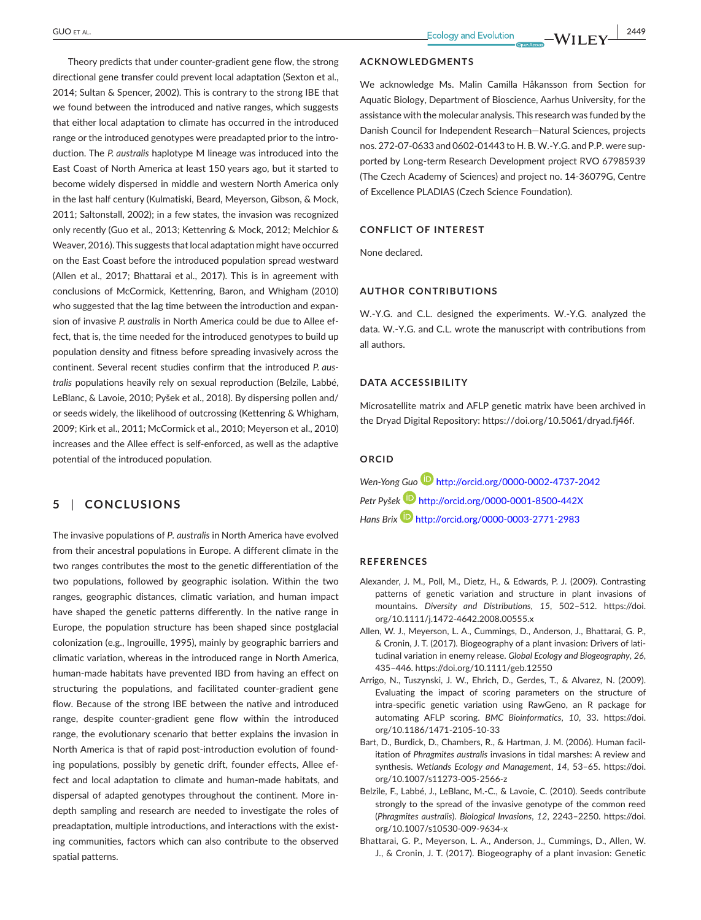Theory predicts that under counter-gradient gene flow, the strong directional gene transfer could prevent local adaptation (Sexton et al., 2014; Sultan & Spencer, 2002). This is contrary to the strong IBE that we found between the introduced and native ranges, which suggests that either local adaptation to climate has occurred in the introduced range or the introduced genotypes were preadapted prior to the introduction. The *P. australis* haplotype M lineage was introduced into the East Coast of North America at least 150 years ago, but it started to become widely dispersed in middle and western North America only in the last half century (Kulmatiski, Beard, Meyerson, Gibson, & Mock, 2011; Saltonstall, 2002); in a few states, the invasion was recognized only recently (Guo et al., 2013; Kettenring & Mock, 2012; Melchior & Weaver, 2016). This suggests that local adaptation might have occurred on the East Coast before the introduced population spread westward (Allen et al., 2017; Bhattarai et al., 2017). This is in agreement with conclusions of McCormick, Kettenring, Baron, and Whigham (2010) who suggested that the lag time between the introduction and expansion of invasive *P. australis* in North America could be due to Allee effect, that is, the time needed for the introduced genotypes to build up population density and fitness before spreading invasively across the continent. Several recent studies confirm that the introduced *P. australis* populations heavily rely on sexual reproduction (Belzile, Labbé, LeBlanc, & Lavoie, 2010; Pyšek et al., 2018). By dispersing pollen and/ or seeds widely, the likelihood of outcrossing (Kettenring & Whigham, 2009; Kirk et al., 2011; McCormick et al., 2010; Meyerson et al., 2010) increases and the Allee effect is self-enforced, as well as the adaptive potential of the introduced population.

# **5** | **CONCLUSIONS**

The invasive populations of *P. australis* in North America have evolved from their ancestral populations in Europe. A different climate in the two ranges contributes the most to the genetic differentiation of the two populations, followed by geographic isolation. Within the two ranges, geographic distances, climatic variation, and human impact have shaped the genetic patterns differently. In the native range in Europe, the population structure has been shaped since postglacial colonization (e.g., Ingrouille, 1995), mainly by geographic barriers and climatic variation, whereas in the introduced range in North America, human-made habitats have prevented IBD from having an effect on structuring the populations, and facilitated counter-gradient gene flow. Because of the strong IBE between the native and introduced range, despite counter-gradient gene flow within the introduced range, the evolutionary scenario that better explains the invasion in North America is that of rapid post-introduction evolution of founding populations, possibly by genetic drift, founder effects, Allee effect and local adaptation to climate and human-made habitats, and dispersal of adapted genotypes throughout the continent. More indepth sampling and research are needed to investigate the roles of preadaptation, multiple introductions, and interactions with the existing communities, factors which can also contribute to the observed spatial patterns.

#### **ACKNOWLEDGMENTS**

We acknowledge Ms. Malin Camilla Håkansson from Section for Aquatic Biology, Department of Bioscience, Aarhus University, for the assistance with the molecular analysis. This research was funded by the Danish Council for Independent Research—Natural Sciences, projects nos. 272-07-0633 and 0602-01443 to H. B. W.-Y.G. and P.P. were supported by Long-term Research Development project RVO 67985939 (The Czech Academy of Sciences) and project no. 14-36079G, Centre of Excellence PLADIAS (Czech Science Foundation).

# **CONFLICT OF INTEREST**

None declared.

## **AUTHOR CONTRIBUTIONS**

W.-Y.G. and C.L. designed the experiments. W.-Y.G. analyzed the data. W.-Y.G. and C.L. wrote the manuscript with contributions from all authors.

#### **DATA ACCESSIBILITY**

Microsatellite matrix and AFLP genetic matrix have been archived in the Dryad Digital Repository: <https://doi.org/10.5061/dryad.fj46f>.

# **ORCID**

*Wen-Yong Guo* <http://orcid.org/0000-0002-4737-2042> *Petr Pyše[k](http://orcid.org/0000-0001-8500-442X)* <http://orcid.org/0000-0001-8500-442X> *Hans Brix* <http://orcid.org/0000-0003-2771-2983>

### **REFERENCES**

- Alexander, J. M., Poll, M., Dietz, H., & Edwards, P. J. (2009). Contrasting patterns of genetic variation and structure in plant invasions of mountains. *Diversity and Distributions*, *15*, 502–512. [https://doi.](https://doi.org/10.1111/j.1472-4642.2008.00555.x) [org/10.1111/j.1472-4642.2008.00555.x](https://doi.org/10.1111/j.1472-4642.2008.00555.x)
- Allen, W. J., Meyerson, L. A., Cummings, D., Anderson, J., Bhattarai, G. P., & Cronin, J. T. (2017). Biogeography of a plant invasion: Drivers of latitudinal variation in enemy release. *Global Ecology and Biogeography*, *26*, 435–446. <https://doi.org/10.1111/geb.12550>
- Arrigo, N., Tuszynski, J. W., Ehrich, D., Gerdes, T., & Alvarez, N. (2009). Evaluating the impact of scoring parameters on the structure of intra-specific genetic variation using RawGeno, an R package for automating AFLP scoring. *BMC Bioinformatics*, *10*, 33. [https://doi.](https://doi.org/10.1186/1471-2105-10-33) [org/10.1186/1471-2105-10-33](https://doi.org/10.1186/1471-2105-10-33)
- Bart, D., Burdick, D., Chambers, R., & Hartman, J. M. (2006). Human facilitation of *Phragmites australis* invasions in tidal marshes: A review and synthesis. *Wetlands Ecology and Management*, *14*, 53–65. [https://doi.](https://doi.org/10.1007/s11273-005-2566-z) [org/10.1007/s11273-005-2566-z](https://doi.org/10.1007/s11273-005-2566-z)
- Belzile, F., Labbé, J., LeBlanc, M.-C., & Lavoie, C. (2010). Seeds contribute strongly to the spread of the invasive genotype of the common reed (*Phragmites australis*). *Biological Invasions*, *12*, 2243–2250. [https://doi.](https://doi.org/10.1007/s10530-009-9634-x) [org/10.1007/s10530-009-9634-x](https://doi.org/10.1007/s10530-009-9634-x)
- Bhattarai, G. P., Meyerson, L. A., Anderson, J., Cummings, D., Allen, W. J., & Cronin, J. T. (2017). Biogeography of a plant invasion: Genetic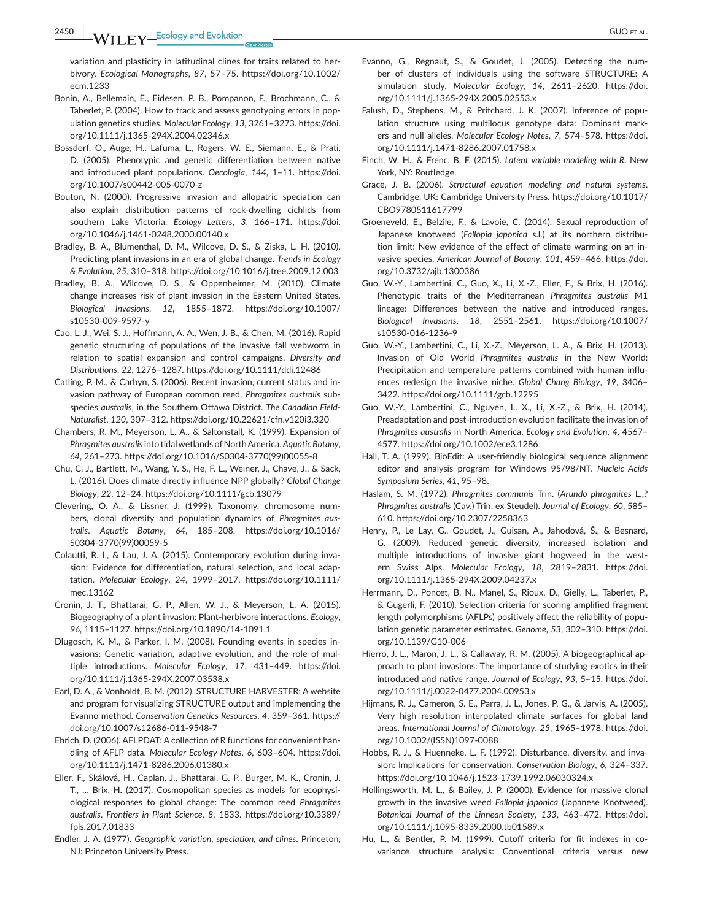variation and plasticity in latitudinal clines for traits related to herbivory. *Ecological Monographs*, *87*, 57–75. [https://doi.org/10.1002/](https://doi.org/10.1002/ecm.1233) [ecm.1233](https://doi.org/10.1002/ecm.1233)

- Bonin, A., Bellemain, E., Eidesen, P. B., Pompanon, F., Brochmann, C., & Taberlet, P. (2004). How to track and assess genotyping errors in population genetics studies. *Molecular Ecology*, *13*, 3261–3273. [https://doi.](https://doi.org/10.1111/j.1365-294X.2004.02346.x) [org/10.1111/j.1365-294X.2004.02346.x](https://doi.org/10.1111/j.1365-294X.2004.02346.x)
- Bossdorf, O., Auge, H., Lafuma, L., Rogers, W. E., Siemann, E., & Prati, D. (2005). Phenotypic and genetic differentiation between native and introduced plant populations. *Oecologia*, *144*, 1–11. [https://doi.](https://doi.org/10.1007/s00442-005-0070-z) [org/10.1007/s00442-005-0070-z](https://doi.org/10.1007/s00442-005-0070-z)
- Bouton, N. (2000). Progressive invasion and allopatric speciation can also explain distribution patterns of rock-dwelling cichlids from southern Lake Victoria. *Ecology Letters*, *3*, 166–171. [https://doi.](https://doi.org/10.1046/j.1461-0248.2000.00140.x) [org/10.1046/j.1461-0248.2000.00140.x](https://doi.org/10.1046/j.1461-0248.2000.00140.x)
- Bradley, B. A., Blumenthal, D. M., Wilcove, D. S., & Ziska, L. H. (2010). Predicting plant invasions in an era of global change. *Trends in Ecology & Evolution*, *25*, 310–318.<https://doi.org/10.1016/j.tree.2009.12.003>
- Bradley, B. A., Wilcove, D. S., & Oppenheimer, M. (2010). Climate change increases risk of plant invasion in the Eastern United States. *Biological Invasions*, *12*, 1855–1872. [https://doi.org/10.1007/](https://doi.org/10.1007/s10530-009-9597-y) [s10530-009-9597-y](https://doi.org/10.1007/s10530-009-9597-y)
- Cao, L. J., Wei, S. J., Hoffmann, A. A., Wen, J. B., & Chen, M. (2016). Rapid genetic structuring of populations of the invasive fall webworm in relation to spatial expansion and control campaigns. *Diversity and Distributions*, *22*, 1276–1287.<https://doi.org/10.1111/ddi.12486>
- Catling, P. M., & Carbyn, S. (2006). Recent invasion, current status and invasion pathway of European common reed, *Phragmites australis* subspecies *australis*, in the Southern Ottawa District. *The Canadian Field-Naturalist*, *120*, 307–312. <https://doi.org/10.22621/cfn.v120i3.320>
- Chambers, R. M., Meyerson, L. A., & Saltonstall, K. (1999). Expansion of *Phragmites australis* into tidal wetlands of North America. *Aquatic Botany*, *64*, 261–273. [https://doi.org/10.1016/S0304-3770\(99\)00055-8](https://doi.org/10.1016/S0304-3770(99)00055-8)
- Chu, C. J., Bartlett, M., Wang, Y. S., He, F. L., Weiner, J., Chave, J., & Sack, L. (2016). Does climate directly influence NPP globally? *Global Change Biology*, *22*, 12–24. <https://doi.org/10.1111/gcb.13079>
- Clevering, O. A., & Lissner, J. (1999). Taxonomy, chromosome numbers, clonal diversity and population dynamics of *Phragmites australis*. *Aquatic Botany*, *64*, 185–208. [https://doi.org/10.1016/](https://doi.org/10.1016/S0304-3770(99)00059-5) [S0304-3770\(99\)00059-5](https://doi.org/10.1016/S0304-3770(99)00059-5)
- Colautti, R. I., & Lau, J. A. (2015). Contemporary evolution during invasion: Evidence for differentiation, natural selection, and local adaptation. *Molecular Ecology*, *24*, 1999–2017. [https://doi.org/10.1111/](https://doi.org/10.1111/mec.13162) [mec.13162](https://doi.org/10.1111/mec.13162)
- Cronin, J. T., Bhattarai, G. P., Allen, W. J., & Meyerson, L. A. (2015). Biogeography of a plant invasion: Plant-herbivore interactions. *Ecology*, *96*, 1115–1127.<https://doi.org/10.1890/14-1091.1>
- Dlugosch, K. M., & Parker, I. M. (2008). Founding events in species invasions: Genetic variation, adaptive evolution, and the role of multiple introductions. *Molecular Ecology*, *17*, 431–449. [https://doi.](https://doi.org/10.1111/j.1365-294X.2007.03538.x) [org/10.1111/j.1365-294X.2007.03538.x](https://doi.org/10.1111/j.1365-294X.2007.03538.x)
- Earl, D. A., & Vonholdt, B. M. (2012). STRUCTURE HARVESTER: A website and program for visualizing STRUCTURE output and implementing the Evanno method. *Conservation Genetics Resources*, *4*, 359–361. [https://](https://doi.org/10.1007/s12686-011-9548-7) [doi.org/10.1007/s12686-011-9548-7](https://doi.org/10.1007/s12686-011-9548-7)
- Ehrich, D. (2006). AFLPDAT: A collection of R functions for convenient handling of AFLP data. *Molecular Ecology Notes*, *6*, 603–604. [https://doi.](https://doi.org/10.1111/j.1471-8286.2006.01380.x) [org/10.1111/j.1471-8286.2006.01380.x](https://doi.org/10.1111/j.1471-8286.2006.01380.x)
- Eller, F., Skálová, H., Caplan, J., Bhattarai, G. P., Burger, M. K., Cronin, J. T., … Brix, H. (2017). Cosmopolitan species as models for ecophysiological responses to global change: The common reed *Phragmites australis*. *Frontiers in Plant Science*, *8*, 1833. [https://doi.org/10.3389/](https://doi.org/10.3389/fpls.2017.01833) [fpls.2017.01833](https://doi.org/10.3389/fpls.2017.01833)
- Endler, J. A. (1977). *Geographic variation, speciation, and clines*. Princeton, NJ: Princeton University Press.
- Evanno, G., Regnaut, S., & Goudet, J. (2005). Detecting the number of clusters of individuals using the software STRUCTURE: A simulation study. *Molecular Ecology*, *14*, 2611–2620. [https://doi.](https://doi.org/10.1111/j.1365-294X.2005.02553.x) [org/10.1111/j.1365-294X.2005.02553.x](https://doi.org/10.1111/j.1365-294X.2005.02553.x)
- Falush, D., Stephens, M., & Pritchard, J. K. (2007). Inference of population structure using multilocus genotype data: Dominant markers and null alleles. *Molecular Ecology Notes*, *7*, 574–578. [https://doi.](https://doi.org/10.1111/j.1471-8286.2007.01758.x) [org/10.1111/j.1471-8286.2007.01758.x](https://doi.org/10.1111/j.1471-8286.2007.01758.x)
- Finch, W. H., & Frenc, B. F. (2015). *Latent variable modeling with R*. New York, NY: Routledge.
- Grace, J. B. (2006). *Structural equation modeling and natural systems*. Cambridge, UK: Cambridge University Press. [https://doi.org/10.1017/](https://doi.org/10.1017/CBO9780511617799) [CBO9780511617799](https://doi.org/10.1017/CBO9780511617799)
- Groeneveld, E., Belzile, F., & Lavoie, C. (2014). Sexual reproduction of Japanese knotweed (*Fallopia japonica* s.l.) at its northern distribution limit: New evidence of the effect of climate warming on an invasive species. *American Journal of Botany*, *101*, 459–466. [https://doi.](https://doi.org/10.3732/ajb.1300386) [org/10.3732/ajb.1300386](https://doi.org/10.3732/ajb.1300386)
- Guo, W.-Y., Lambertini, C., Guo, X., Li, X.-Z., Eller, F., & Brix, H. (2016). Phenotypic traits of the Mediterranean *Phragmites australis* M1 lineage: Differences between the native and introduced ranges. *Biological Invasions*, *18*, 2551–2561. [https://doi.org/10.1007/](https://doi.org/10.1007/s10530-016-1236-9) [s10530-016-1236-9](https://doi.org/10.1007/s10530-016-1236-9)
- Guo, W.-Y., Lambertini, C., Li, X.-Z., Meyerson, L. A., & Brix, H. (2013). Invasion of Old World *Phragmites australis* in the New World: Precipitation and temperature patterns combined with human influences redesign the invasive niche. *Global Chang Biology*, *19*, 3406– 3422. <https://doi.org/10.1111/gcb.12295>
- Guo, W.-Y., Lambertini, C., Nguyen, L. X., Li, X.-Z., & Brix, H. (2014). Preadaptation and post-introduction evolution facilitate the invasion of *Phragmites australis* in North America. *Ecology and Evolution*, *4*, 4567– 4577. <https://doi.org/10.1002/ece3.1286>
- Hall, T. A. (1999). BioEdit: A user-friendly biological sequence alignment editor and analysis program for Windows 95/98/NT. *Nucleic Acids Symposium Series*, *41*, 95–98.
- Haslam, S. M. (1972). *Phragmites communis* Trin. (*Arundo phragmites* L.,? *Phragmites australis* (Cav.) Trin. ex Steudel). *Journal of Ecology*, *60*, 585– 610.<https://doi.org/10.2307/2258363>
- Henry, P., Le Lay, G., Goudet, J., Guisan, A., Jahodová, Š., & Besnard, G. (2009). Reduced genetic diversity, increased isolation and multiple introductions of invasive giant hogweed in the western Swiss Alps. *Molecular Ecology*, *18*, 2819–2831. [https://doi.](https://doi.org/10.1111/j.1365-294X.2009.04237.x) [org/10.1111/j.1365-294X.2009.04237.x](https://doi.org/10.1111/j.1365-294X.2009.04237.x)
- Herrmann, D., Poncet, B. N., Manel, S., Rioux, D., Gielly, L., Taberlet, P., & Gugerli, F. (2010). Selection criteria for scoring amplified fragment length polymorphisms (AFLPs) positively affect the reliability of population genetic parameter estimates. *Genome*, *53*, 302–310. [https://doi.](https://doi.org/10.1139/G10-006) [org/10.1139/G10-006](https://doi.org/10.1139/G10-006)
- Hierro, J. L., Maron, J. L., & Callaway, R. M. (2005). A biogeographical approach to plant invasions: The importance of studying exotics in their introduced and native range. *Journal of Ecology*, *93*, 5–15. [https://doi.](https://doi.org/10.1111/j.0022-0477.2004.00953.x) [org/10.1111/j.0022-0477.2004.00953.x](https://doi.org/10.1111/j.0022-0477.2004.00953.x)
- Hijmans, R. J., Cameron, S. E., Parra, J. L., Jones, P. G., & Jarvis, A. (2005). Very high resolution interpolated climate surfaces for global land areas. *International Journal of Climatology*, *25*, 1965–1978. [https://doi.](https://doi.org/10.1002/(ISSN)1097-0088) [org/10.1002/\(ISSN\)1097-0088](https://doi.org/10.1002/(ISSN)1097-0088)
- Hobbs, R. J., & Huenneke, L. F. (1992). Disturbance, diversity, and invasion: Implications for conservation. *Conservation Biology*, *6*, 324–337. <https://doi.org/10.1046/j.1523-1739.1992.06030324.x>
- Hollingsworth, M. L., & Bailey, J. P. (2000). Evidence for massive clonal growth in the invasive weed *Fallopia japonica* (Japanese Knotweed). *Botanical Journal of the Linnean Society*, *133*, 463–472. [https://doi.](https://doi.org/10.1111/j.1095-8339.2000.tb01589.x) [org/10.1111/j.1095-8339.2000.tb01589.x](https://doi.org/10.1111/j.1095-8339.2000.tb01589.x)
- Hu, L., & Bentler, P. M. (1999). Cutoff criteria for fit indexes in covariance structure analysis: Conventional criteria versus new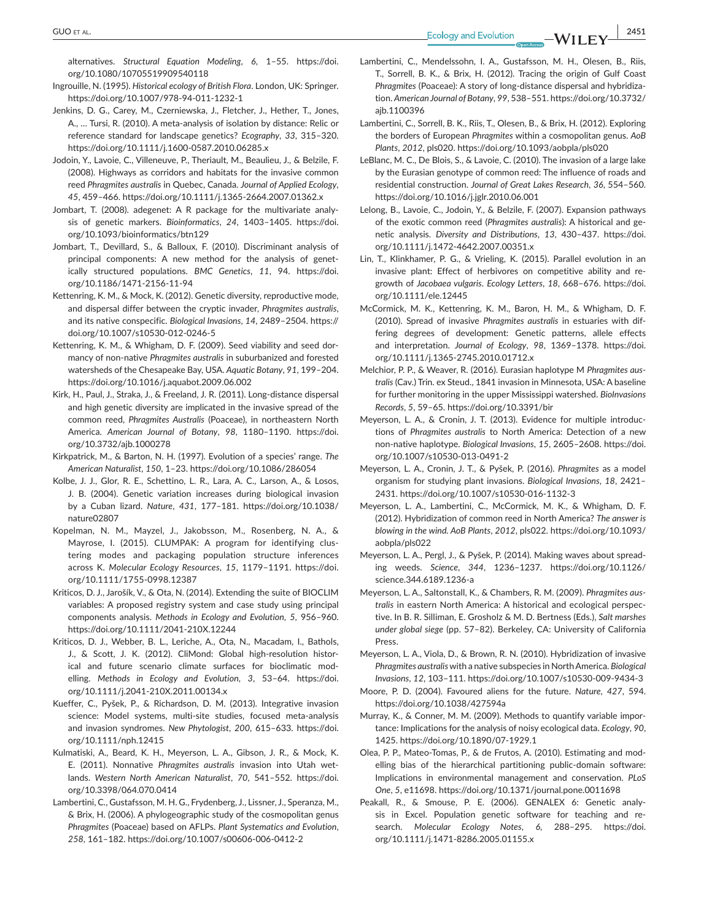**GUO** ET AL. **2451**<br> **Ecology** and Evolution **ALIEN EV 2451** 

alternatives. *Structural Equation Modeling*, *6*, 1–55. [https://doi.](https://doi.org/10.1080/10705519909540118) [org/10.1080/10705519909540118](https://doi.org/10.1080/10705519909540118)

- Ingrouille, N. (1995). *Historical ecology of British Flora*. London, UK: Springer. <https://doi.org/10.1007/978-94-011-1232-1>
- Jenkins, D. G., Carey, M., Czerniewska, J., Fletcher, J., Hether, T., Jones, A., … Tursi, R. (2010). A meta-analysis of isolation by distance: Relic or reference standard for landscape genetics? *Ecography*, *33*, 315–320. <https://doi.org/10.1111/j.1600-0587.2010.06285.x>
- Jodoin, Y., Lavoie, C., Villeneuve, P., Theriault, M., Beaulieu, J., & Belzile, F. (2008). Highways as corridors and habitats for the invasive common reed *Phragmites australis* in Quebec, Canada. *Journal of Applied Ecology*, *45*, 459–466.<https://doi.org/10.1111/j.1365-2664.2007.01362.x>
- Jombart, T. (2008). adegenet: A R package for the multivariate analysis of genetic markers. *Bioinformatics*, *24*, 1403–1405. [https://doi.](https://doi.org/10.1093/bioinformatics/btn129) [org/10.1093/bioinformatics/btn129](https://doi.org/10.1093/bioinformatics/btn129)
- Jombart, T., Devillard, S., & Balloux, F. (2010). Discriminant analysis of principal components: A new method for the analysis of genetically structured populations. *BMC Genetics*, *11*, 94. [https://doi.](https://doi.org/10.1186/1471-2156-11-94) [org/10.1186/1471-2156-11-94](https://doi.org/10.1186/1471-2156-11-94)
- Kettenring, K. M., & Mock, K. (2012). Genetic diversity, reproductive mode, and dispersal differ between the cryptic invader, *Phragmites australis*, and its native conspecific. *Biological Invasions*, *14*, 2489–2504. [https://](https://doi.org/10.1007/s10530-012-0246-5) [doi.org/10.1007/s10530-012-0246-5](https://doi.org/10.1007/s10530-012-0246-5)
- Kettenring, K. M., & Whigham, D. F. (2009). Seed viability and seed dormancy of non-native *Phragmites australis* in suburbanized and forested watersheds of the Chesapeake Bay, USA. *Aquatic Botany*, *91*, 199–204. <https://doi.org/10.1016/j.aquabot.2009.06.002>
- Kirk, H., Paul, J., Straka, J., & Freeland, J. R. (2011). Long-distance dispersal and high genetic diversity are implicated in the invasive spread of the common reed, *Phragmites Australis* (Poaceae), in northeastern North America. *American Journal of Botany*, *98*, 1180–1190. [https://doi.](https://doi.org/10.3732/ajb.1000278) [org/10.3732/ajb.1000278](https://doi.org/10.3732/ajb.1000278)
- Kirkpatrick, M., & Barton, N. H. (1997). Evolution of a species' range. *The American Naturalist*, *150*, 1–23. <https://doi.org/10.1086/286054>
- Kolbe, J. J., Glor, R. E., Schettino, L. R., Lara, A. C., Larson, A., & Losos, J. B. (2004). Genetic variation increases during biological invasion by a Cuban lizard. *Nature*, *431*, 177–181. [https://doi.org/10.1038/](https://doi.org/10.1038/nature02807) [nature02807](https://doi.org/10.1038/nature02807)
- Kopelman, N. M., Mayzel, J., Jakobsson, M., Rosenberg, N. A., & Mayrose, I. (2015). CLUMPAK: A program for identifying clustering modes and packaging population structure inferences across K. *Molecular Ecology Resources*, *15*, 1179–1191. [https://doi.](https://doi.org/10.1111/1755-0998.12387) [org/10.1111/1755-0998.12387](https://doi.org/10.1111/1755-0998.12387)
- Kriticos, D. J., Jarošík, V., & Ota, N. (2014). Extending the suite of BIOCLIM variables: A proposed registry system and case study using principal components analysis. *Methods in Ecology and Evolution*, *5*, 956–960. <https://doi.org/10.1111/2041-210X.12244>
- Kriticos, D. J., Webber, B. L., Leriche, A., Ota, N., Macadam, I., Bathols, J., & Scott, J. K. (2012). CliMond: Global high-resolution historical and future scenario climate surfaces for bioclimatic modelling. *Methods in Ecology and Evolution*, *3*, 53–64. [https://doi.](https://doi.org/10.1111/j.2041-210X.2011.00134.x) [org/10.1111/j.2041-210X.2011.00134.x](https://doi.org/10.1111/j.2041-210X.2011.00134.x)
- Kueffer, C., Pyšek, P., & Richardson, D. M. (2013). Integrative invasion science: Model systems, multi-site studies, focused meta-analysis and invasion syndromes. *New Phytologist*, *200*, 615–633. [https://doi.](https://doi.org/10.1111/nph.12415) [org/10.1111/nph.12415](https://doi.org/10.1111/nph.12415)
- Kulmatiski, A., Beard, K. H., Meyerson, L. A., Gibson, J. R., & Mock, K. E. (2011). Nonnative *Phragmites australis* invasion into Utah wetlands. *Western North American Naturalist*, *70*, 541–552. [https://doi.](https://doi.org/10.3398/064.070.0414) [org/10.3398/064.070.0414](https://doi.org/10.3398/064.070.0414)
- Lambertini, C., Gustafsson, M. H. G., Frydenberg, J., Lissner, J., Speranza, M., & Brix, H. (2006). A phylogeographic study of the cosmopolitan genus *Phragmites* (Poaceae) based on AFLPs. *Plant Systematics and Evolution*, *258*, 161–182. <https://doi.org/10.1007/s00606-006-0412-2>
- Lambertini, C., Mendelssohn, I. A., Gustafsson, M. H., Olesen, B., Riis, T., Sorrell, B. K., & Brix, H. (2012). Tracing the origin of Gulf Coast *Phragmites* (Poaceae): A story of long-distance dispersal and hybridization. *American Journal of Botany*, *99*, 538–551. [https://doi.org/10.3732/](https://doi.org/10.3732/ajb.1100396) [ajb.1100396](https://doi.org/10.3732/ajb.1100396)
- Lambertini, C., Sorrell, B. K., Riis, T., Olesen, B., & Brix, H. (2012). Exploring the borders of European *Phragmites* within a cosmopolitan genus. *AoB Plants*, *2012*, pls020. <https://doi.org/10.1093/aobpla/pls020>
- LeBlanc, M. C., De Blois, S., & Lavoie, C. (2010). The invasion of a large lake by the Eurasian genotype of common reed: The influence of roads and residential construction. *Journal of Great Lakes Research*, *36*, 554–560. <https://doi.org/10.1016/j.jglr.2010.06.001>
- Lelong, B., Lavoie, C., Jodoin, Y., & Belzile, F. (2007). Expansion pathways of the exotic common reed (*Phragmites australis*): A historical and genetic analysis. *Diversity and Distributions*, *13*, 430–437. [https://doi.](https://doi.org/10.1111/j.1472-4642.2007.00351.x) [org/10.1111/j.1472-4642.2007.00351.x](https://doi.org/10.1111/j.1472-4642.2007.00351.x)
- Lin, T., Klinkhamer, P. G., & Vrieling, K. (2015). Parallel evolution in an invasive plant: Effect of herbivores on competitive ability and regrowth of *Jacobaea vulgaris*. *Ecology Letters*, *18*, 668–676. [https://doi.](https://doi.org/10.1111/ele.12445) [org/10.1111/ele.12445](https://doi.org/10.1111/ele.12445)
- McCormick, M. K., Kettenring, K. M., Baron, H. M., & Whigham, D. F. (2010). Spread of invasive *Phragmites australis* in estuaries with differing degrees of development: Genetic patterns, allele effects and interpretation. *Journal of Ecology*, *98*, 1369–1378. [https://doi.](https://doi.org/10.1111/j.1365-2745.2010.01712.x) [org/10.1111/j.1365-2745.2010.01712.x](https://doi.org/10.1111/j.1365-2745.2010.01712.x)
- Melchior, P. P., & Weaver, R. (2016). Eurasian haplotype M *Phragmites australis* (Cav.) Trin. ex Steud., 1841 invasion in Minnesota, USA: A baseline for further monitoring in the upper Mississippi watershed. *BioInvasions Records*, *5*, 59–65.<https://doi.org/10.3391/bir>
- Meyerson, L. A., & Cronin, J. T. (2013). Evidence for multiple introductions of *Phragmites australis* to North America: Detection of a new non-native haplotype. *Biological Invasions*, *15*, 2605–2608. [https://doi.](https://doi.org/10.1007/s10530-013-0491-2) [org/10.1007/s10530-013-0491-2](https://doi.org/10.1007/s10530-013-0491-2)
- Meyerson, L. A., Cronin, J. T., & Pyšek, P. (2016). *Phragmites* as a model organism for studying plant invasions. *Biological Invasions*, *18*, 2421– 2431. <https://doi.org/10.1007/s10530-016-1132-3>
- Meyerson, L. A., Lambertini, C., McCormick, M. K., & Whigham, D. F. (2012). Hybridization of common reed in North America? *The answer is blowing in the wind. AoB Plants*, *2012*, pls022. [https://doi.org/10.1093/](https://doi.org/10.1093/aobpla/pls022) [aobpla/pls022](https://doi.org/10.1093/aobpla/pls022)
- Meyerson, L. A., Pergl, J., & Pyšek, P. (2014). Making waves about spreading weeds. *Science*, *344*, 1236–1237. [https://doi.org/10.1126/](https://doi.org/10.1126/science.344.6189.1236-a) [science.344.6189.1236-a](https://doi.org/10.1126/science.344.6189.1236-a)
- Meyerson, L. A., Saltonstall, K., & Chambers, R. M. (2009). *Phragmites australis* in eastern North America: A historical and ecological perspective. In B. R. Silliman, E. Grosholz & M. D. Bertness (Eds.), *Salt marshes under global siege* (pp. 57–82). Berkeley, CA: University of California Press.
- Meyerson, L. A., Viola, D., & Brown, R. N. (2010). Hybridization of invasive *Phragmites australis* with a native subspecies in North America. *Biological Invasions*, *12*, 103–111. <https://doi.org/10.1007/s10530-009-9434-3>
- Moore, P. D. (2004). Favoured aliens for the future. *Nature*, *427*, 594. <https://doi.org/10.1038/427594a>
- Murray, K., & Conner, M. M. (2009). Methods to quantify variable importance: Implications for the analysis of noisy ecological data. *Ecology*, *90*, 1425. <https://doi.org/10.1890/07-1929.1>
- Olea, P. P., Mateo-Tomas, P., & de Frutos, A. (2010). Estimating and modelling bias of the hierarchical partitioning public-domain software: Implications in environmental management and conservation. *PLoS One*, *5*, e11698. <https://doi.org/10.1371/journal.pone.0011698>
- Peakall, R., & Smouse, P. E. (2006). GENALEX 6: Genetic analysis in Excel. Population genetic software for teaching and research. *Molecular Ecology Notes*, *6*, 288–295. [https://doi.](https://doi.org/10.1111/j.1471-8286.2005.01155.x) [org/10.1111/j.1471-8286.2005.01155.x](https://doi.org/10.1111/j.1471-8286.2005.01155.x)